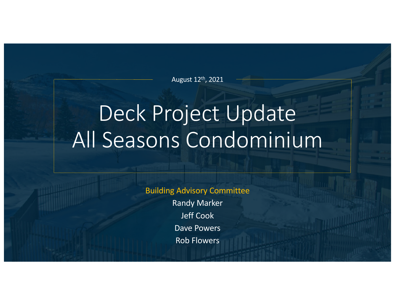August 12th, 2021

# Deck Project Update All Seasons Condominium

Building Advisory Committee

Randy Marker Jeff Cook Dave Powers Rob Flowers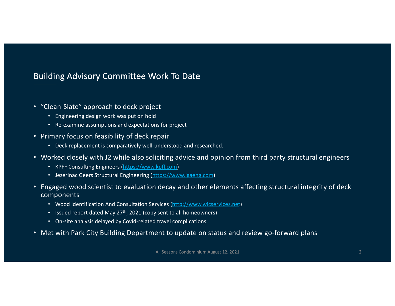# Building Advisory Committee Work To Date

- "Clean-Slate" approach to deck project
	- Engineering design work was put on hold
	- Re-examine assumptions and expectations for project
- Primary focus on feasibility of deck repair
	- Deck replacement is comparatively well-understood and researched.
- Worked closely with J2 while also soliciting advice and opinion from third party structural engineers
	- KPFF Consulting Engineer[s \(https://www.kpff.com](https://www.kpff.com/))
	- Jezerinac Geers Structural Engineerin[g \(https://www.jgaeng.com](https://www.jgaeng.com/))
- Engaged wood scientist to evaluation decay and other elements affecting structural integrity of deck components
	- Wood Identification And Consultation Service[s \(http://www.wicservices.ne](http://www.wicservices.net/)t)
	- Issued report dated May 27<sup>th</sup>, 2021 (copy sent to all homeowners)
	- On-site analysis delayed by Covid-related travel complications
- Met with Park City Building Department to update on status and review go-forward plans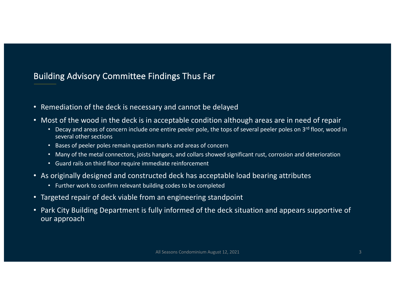# Building Advisory Committee Findings Thus Far

- Remediation of the deck is necessary and cannot be delayed
- Most of the wood in the deck is in acceptable condition although areas are in need of repair
	- Decay and areas of concern include one entire peeler pole, the tops of several peeler poles on 3rd floor, wood in several other sections
	- Bases of peeler poles remain question marks and areas of concern
	- Many of the metal connectors, joists hangars, and collars showed significant rust, corrosion and deterioration
	- Guard rails on third floor require immediate reinforcement
- As originally designed and constructed deck has acceptable load bearing attributes
	- Further work to confirm relevant building codes to be completed
- Targeted repair of deck viable from an engineering standpoint
- Park City Building Department is fully informed of the deck situation and appears supportive of our approach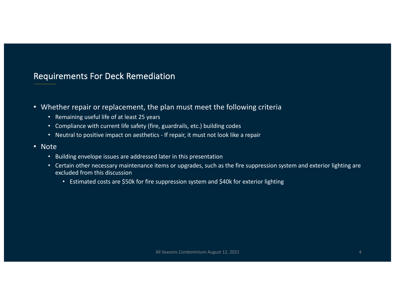## Requirements For Deck Remediation

- Whether repair or replacement, the plan must meet the following criteria
	- Remaining useful life of at least 25 years
	- Compliance with current life safety (fire, guardrails, etc.) building codes
	- Neutral to positive impact on aesthetics If repair, it must not look like a repair
- Note
	- Building envelope issues are addressed later in this presentation
	- Certain other necessary maintenance items or upgrades, such as the fire suppression system and exterior lighting are excluded from this discussion
		- Estimated costs are \$50k for fire suppression system and \$40k for exterior lighting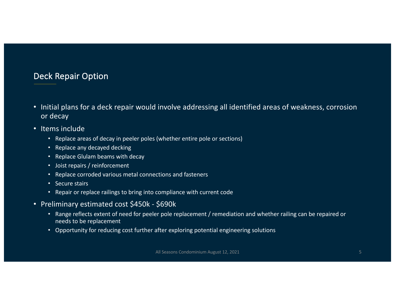# Deck Repair Option

- Initial plans for a deck repair would involve addressing all identified areas of weakness, corrosion or decay
- Items include
	- Replace areas of decay in peeler poles (whether entire pole or sections)
	- Replace any decayed decking
	- Replace Glulam beams with decay
	- Joist repairs / reinforcement
	- Replace corroded various metal connections and fasteners
	- Secure stairs
	- Repair or replace railings to bring into compliance with current code
- Preliminary estimated cost \$450k \$690k
	- Range reflects extent of need for peeler pole replacement / remediation and whether railing can be repaired or needs to be replacement
	- Opportunity for reducing cost further after exploring potential engineering solutions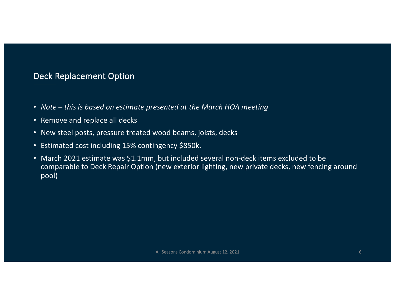## Deck Replacement Option

- *Note – this is based on estimate presented at the March HOA meeting*
- Remove and replace all decks
- New steel posts, pressure treated wood beams, joists, decks
- Estimated cost including 15% contingency \$850k.
- March 2021 estimate was \$1.1mm, but included several non-deck items excluded to be comparable to Deck Repair Option (new exterior lighting, new private decks, new fencing around pool)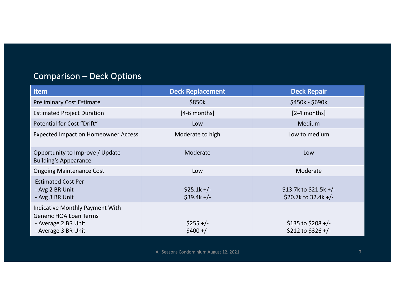# Comparison – Deck Options

| <b>Item</b>                                                                                                    | <b>Deck Replacement</b>      | <b>Deck Repair</b>                               |
|----------------------------------------------------------------------------------------------------------------|------------------------------|--------------------------------------------------|
| <b>Preliminary Cost Estimate</b>                                                                               | \$850k                       | \$450k - \$690k                                  |
| <b>Estimated Project Duration</b>                                                                              | $[4-6$ months]               | $[2-4$ months]                                   |
| Potential for Cost "Drift"                                                                                     | Low                          | <b>Medium</b>                                    |
| <b>Expected Impact on Homeowner Access</b>                                                                     | Moderate to high             | Low to medium                                    |
| Opportunity to Improve / Update<br><b>Building's Appearance</b>                                                | Moderate                     | Low                                              |
| <b>Ongoing Maintenance Cost</b>                                                                                | Low                          | Moderate                                         |
| <b>Estimated Cost Per</b><br>- Avg 2 BR Unit<br>- Avg 3 BR Unit                                                | $$25.1k +/-$<br>$$39.4k +/-$ | \$13.7k to \$21.5k +/-<br>\$20.7k to $32.4k +/-$ |
| Indicative Monthly Payment With<br><b>Generic HOA Loan Terms</b><br>- Average 2 BR Unit<br>- Average 3 BR Unit | $$255 +/-$<br>$$400 +/-$     | \$135 to \$208 +/-<br>\$212 to \$326 +/-         |

All Seasons Condominium August 12, 2021 7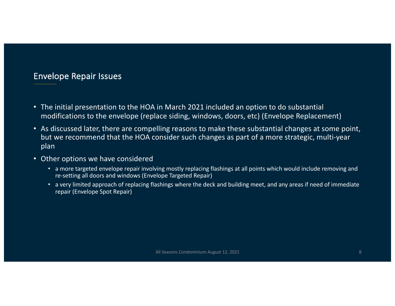#### Envelope Repair Issues

- The initial presentation to the HOA in March 2021 included an option to do substantial modifications to the envelope (replace siding, windows, doors, etc) (Envelope Replacement)
- As discussed later, there are compelling reasons to make these substantial changes at some point, but we recommend that the HOA consider such changes as part of a more strategic, multi-year plan
- Other options we have considered
	- a more targeted envelope repair involving mostly replacing flashings at all points which would include removing and re-setting all doors and windows (Envelope Targeted Repair)
	- a very limited approach of replacing flashings where the deck and building meet, and any areas if need of immediate repair (Envelope Spot Repair)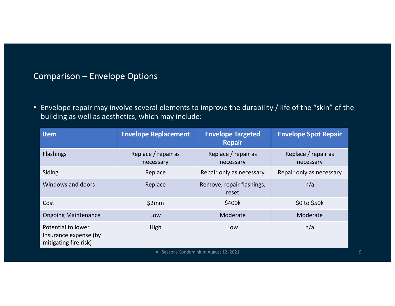# Comparison – Envelope Options

• Envelope repair may involve several elements to improve the durability / life of the "skin" of the building as well as aesthetics, which may include:

| <b>Item</b>                                                          | <b>Envelope Replacement</b>      | <b>Envelope Targeted</b><br><b>Repair</b> | <b>Envelope Spot Repair</b>      |  |  |
|----------------------------------------------------------------------|----------------------------------|-------------------------------------------|----------------------------------|--|--|
| <b>Flashings</b>                                                     | Replace / repair as<br>necessary | Replace / repair as<br>necessary          | Replace / repair as<br>necessary |  |  |
| Siding                                                               | Replace                          | Repair only as necessary                  | Repair only as necessary         |  |  |
| Windows and doors                                                    | Replace                          | Remove, repair flashings,<br>reset        | n/a                              |  |  |
| Cost                                                                 | \$2mm                            | \$400k                                    | $$0$ to $$50k$                   |  |  |
| <b>Ongoing Maintenance</b>                                           | Low                              | Moderate                                  | Moderate                         |  |  |
| Potential to lower<br>Insurance expense (by<br>mitigating fire risk) | High                             | Low                                       | n/a                              |  |  |
| All Seasons Condominium August 12, 2021                              |                                  |                                           |                                  |  |  |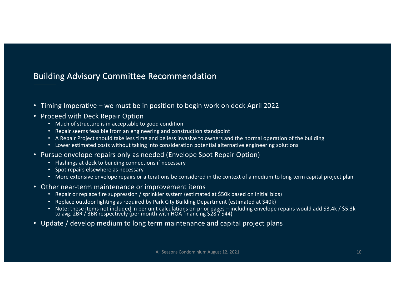## Building Advisory Committee Recommendation

- Timing Imperative we must be in position to begin work on deck April 2022
- Proceed with Deck Repair Option
	- Much of structure is in acceptable to good condition
	- Repair seems feasible from an engineering and construction standpoint
	- A Repair Project should take less time and be less invasive to owners and the normal operation of the building
	- Lower estimated costs without taking into consideration potential alternative engineering solutions
- Pursue envelope repairs only as needed (Envelope Spot Repair Option)
	- Flashings at deck to building connections if necessary
	- Spot repairs elsewhere as necessary
	- More extensive envelope repairs or alterations be considered in the context of a medium to long term capital project plan
- Other near-term maintenance or improvement items
	- Repair or replace fire suppression / sprinkler system (estimated at \$50k based on initial bids)
	- Replace outdoor lighting as required by Park City Building Department (estimated at \$40k)
	- Note: these items not included in per unit calculations on prior pages including envelope repairs would add \$3.4k / \$5.3k<br>to avg. 2BR / 3BR respectively (per month with HOA financing \$28 / \$44)
- Update / develop medium to long term maintenance and capital project plans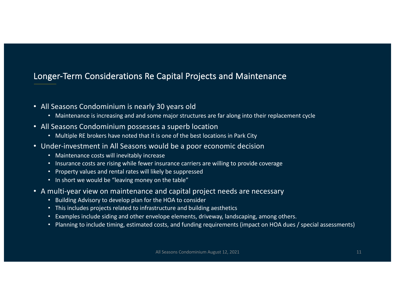# Longer-Term Considerations Re Capital Projects and Maintenance

- All Seasons Condominium is nearly 30 years old
	- Maintenance is increasing and and some major structures are far along into their replacement cycle
- All Seasons Condominium possesses a superb location
	- Multiple RE brokers have noted that it is one of the best locations in Park City
- Under-investment in All Seasons would be a poor economic decision
	- Maintenance costs will inevitably increase
	- Insurance costs are rising while fewer insurance carriers are willing to provide coverage
	- Property values and rental rates will likely be suppressed
	- In short we would be "leaving money on the table"
- A multi-year view on maintenance and capital project needs are necessary
	- Building Advisory to develop plan for the HOA to consider
	- This includes projects related to infrastructure and building aesthetics
	- Examples include siding and other envelope elements, driveway, landscaping, among others.
	- Planning to include timing, estimated costs, and funding requirements (impact on HOA dues / special assessments)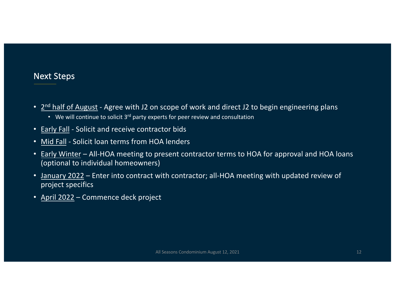#### Next Steps

- 2<sup>nd</sup> half of August Agree with J2 on scope of work and direct J2 to begin engineering plans
	- We will continue to solicit 3rd party experts for peer review and consultation
- Early Fall Solicit and receive contractor bids
- Mid Fall Solicit loan terms from HOA lenders
- Early Winter All-HOA meeting to present contractor terms to HOA for approval and HOA loans (optional to individual homeowners)
- January 2022 Enter into contract with contractor; all-HOA meeting with updated review of project specifics
- April 2022 Commence deck project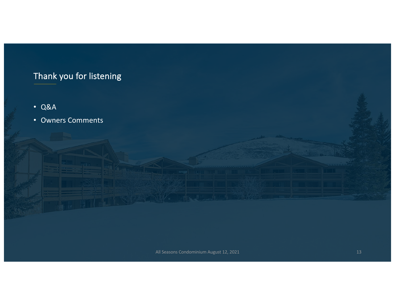# Thank you for listening

- Q&A
- Owners Comments

All Seasons Condominium August 12, 2021 13